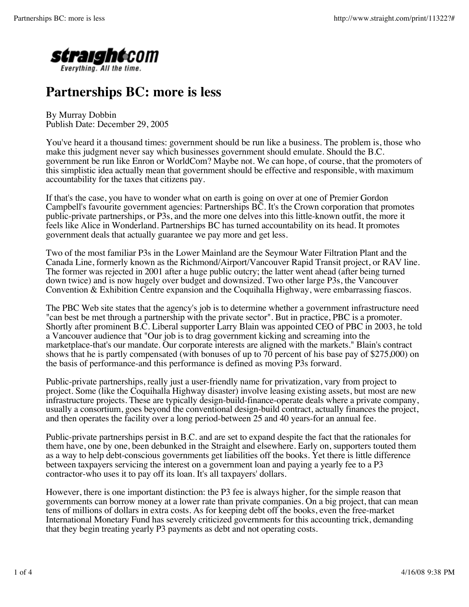

## **Partnerships BC: more is less**

By Murray Dobbin Publish Date: December 29, 2005

You've heard it a thousand times: government should be run like a business. The problem is, those who make this judgment never say which businesses government should emulate. Should the B.C. government be run like Enron or WorldCom? Maybe not. We can hope, of course, that the promoters of this simplistic idea actually mean that government should be effective and responsible, with maximum accountability for the taxes that citizens pay.

If that's the case, you have to wonder what on earth is going on over at one of Premier Gordon Campbell's favourite government agencies: Partnerships BC. It's the Crown corporation that promotes public-private partnerships, or P3s, and the more one delves into this little-known outfit, the more it feels like Alice in Wonderland. Partnerships BC has turned accountability on its head. It promotes government deals that actually guarantee we pay more and get less.

Two of the most familiar P3s in the Lower Mainland are the Seymour Water Filtration Plant and the Canada Line, formerly known as the Richmond/Airport/Vancouver Rapid Transit project, or RAV line. The former was rejected in 2001 after a huge public outcry; the latter went ahead (after being turned down twice) and is now hugely over budget and downsized. Two other large P3s, the Vancouver Convention & Exhibition Centre expansion and the Coquihalla Highway, were embarrassing fiascos.

The PBC Web site states that the agency's job is to determine whether a government infrastructure need "can best be met through a partnership with the private sector". But in practice, PBC is a promoter. Shortly after prominent B.C. Liberal supporter Larry Blain was appointed CEO of PBC in 2003, he told a Vancouver audience that "Our job is to drag government kicking and screaming into the marketplace-that's our mandate. Our corporate interests are aligned with the markets." Blain's contract shows that he is partly compensated (with bonuses of up to 70 percent of his base pay of \$275,000) on the basis of performance-and this performance is defined as moving P3s forward.

Public-private partnerships, really just a user-friendly name for privatization, vary from project to project. Some (like the Coquihalla Highway disaster) involve leasing existing assets, but most are new infrastructure projects. These are typically design-build-finance-operate deals where a private company, usually a consortium, goes beyond the conventional design-build contract, actually finances the project, and then operates the facility over a long period-between 25 and 40 years-for an annual fee.

Public-private partnerships persist in B.C. and are set to expand despite the fact that the rationales for them have, one by one, been debunked in the Straight and elsewhere. Early on, supporters touted them as a way to help debt-conscious governments get liabilities off the books. Yet there is little difference between taxpayers servicing the interest on a government loan and paying a yearly fee to a P3 contractor-who uses it to pay off its loan. It's all taxpayers' dollars.

However, there is one important distinction: the P3 fee is always higher, for the simple reason that governments can borrow money at a lower rate than private companies. On a big project, that can mean tens of millions of dollars in extra costs. As for keeping debt off the books, even the free-market International Monetary Fund has severely criticized governments for this accounting trick, demanding that they begin treating yearly P3 payments as debt and not operating costs.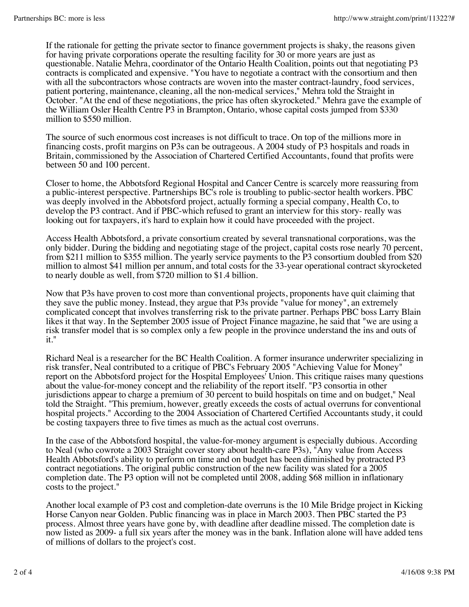If the rationale for getting the private sector to finance government projects is shaky, the reasons given for having private corporations operate the resulting facility for 30 or more years are just as questionable. Natalie Mehra, coordinator of the Ontario Health Coalition, points out that negotiating P3 contracts is complicated and expensive. "You have to negotiate a contract with the consortium and then with all the subcontractors whose contracts are woven into the master contract-laundry, food services, patient portering, maintenance, cleaning, all the non-medical services," Mehra told the Straight in October. "At the end of these negotiations, the price has often skyrocketed." Mehra gave the example of the William Osler Health Centre P3 in Brampton, Ontario, whose capital costs jumped from \$330 million to \$550 million.

The source of such enormous cost increases is not difficult to trace. On top of the millions more in financing costs, profit margins on P3s can be outrageous. A 2004 study of P3 hospitals and roads in Britain, commissioned by the Association of Chartered Certified Accountants, found that profits were between 50 and 100 percent.

Closer to home, the Abbotsford Regional Hospital and Cancer Centre is scarcely more reassuring from a public-interest perspective. Partnerships BC's role is troubling to public-sector health workers. PBC was deeply involved in the Abbotsford project, actually forming a special company, Health Co, to develop the P3 contract. And if PBC-which refused to grant an interview for this story- really was looking out for taxpayers, it's hard to explain how it could have proceeded with the project.

Access Health Abbotsford, a private consortium created by several transnational corporations, was the only bidder. During the bidding and negotiating stage of the project, capital costs rose nearly 70 percent, from \$211 million to \$355 million. The yearly service payments to the P3 consortium doubled from \$20 million to almost \$41 million per annum, and total costs for the 33-year operational contract skyrocketed to nearly double as well, from \$720 million to \$1.4 billion.

Now that P3s have proven to cost more than conventional projects, proponents have quit claiming that they save the public money. Instead, they argue that P3s provide "value for money", an extremely complicated concept that involves transferring risk to the private partner. Perhaps PBC boss Larry Blain likes it that way. In the September 2005 issue of Project Finance magazine, he said that "we are using a risk transfer model that is so complex only a few people in the province understand the ins and outs of it."

Richard Neal is a researcher for the BC Health Coalition. A former insurance underwriter specializing in risk transfer, Neal contributed to a critique of PBC's February 2005 "Achieving Value for Money" report on the Abbotsford project for the Hospital Employees' Union. This critique raises many questions about the value-for-money concept and the reliability of the report itself. "P3 consortia in other jurisdictions appear to charge a premium of 30 percent to build hospitals on time and on budget," Neal told the Straight. "This premium, however, greatly exceeds the costs of actual overruns for conventional hospital projects." According to the 2004 Association of Chartered Certified Accountants study, it could be costing taxpayers three to five times as much as the actual cost overruns.

In the case of the Abbotsford hospital, the value-for-money argument is especially dubious. According to Neal (who cowrote a 2003 Straight cover story about health-care P3s), "Any value from Access Health Abbotsford's ability to perform on time and on budget has been diminished by protracted P3 contract negotiations. The original public construction of the new facility was slated for a 2005 completion date. The P3 option will not be completed until 2008, adding \$68 million in inflationary costs to the project."

Another local example of P3 cost and completion-date overruns is the 10 Mile Bridge project in Kicking Horse Canyon near Golden. Public financing was in place in March 2003. Then PBC started the P3 process. Almost three years have gone by, with deadline after deadline missed. The completion date is now listed as 2009- a full six years after the money was in the bank. Inflation alone will have added tens of millions of dollars to the project's cost.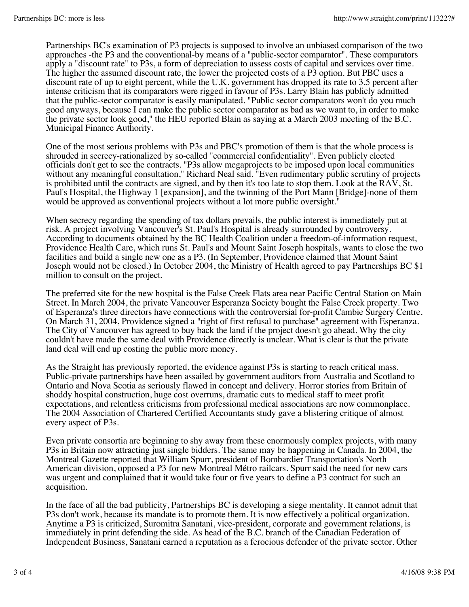Partnerships BC's examination of P3 projects is supposed to involve an unbiased comparison of the two approaches -the P3 and the conventional-by means of a "public-sector comparator". These comparators apply a "discount rate" to P3s, a form of depreciation to assess costs of capital and services over time. The higher the assumed discount rate, the lower the projected costs of a P3 option. But PBC uses a discount rate of up to eight percent, while the U.K. government has dropped its rate to 3.5 percent after intense criticism that its comparators were rigged in favour of P3s. Larry Blain has publicly admitted that the public-sector comparator is easily manipulated. "Public sector comparators won't do you much good anyways, because I can make the public sector comparator as bad as we want to, in order to make the private sector look good," the HEU reported Blain as saying at a March 2003 meeting of the B.C. Municipal Finance Authority.

One of the most serious problems with P3s and PBC's promotion of them is that the whole process is shrouded in secrecy-rationalized by so-called "commercial confidentiality". Even publicly elected officials don't get to see the contracts. "P3s allow megaprojects to be imposed upon local communities without any meaningful consultation," Richard Neal said. "Even rudimentary public scrutiny of projects is prohibited until the contracts are signed, and by then it's too late to stop them. Look at the RAV, St. Paul's Hospital, the Highway 1 [expansion], and the twinning of the Port Mann [Bridge]-none of them would be approved as conventional projects without a lot more public oversight."

When secrecy regarding the spending of tax dollars prevails, the public interest is immediately put at risk. A project involving Vancouver's St. Paul's Hospital is already surrounded by controversy. According to documents obtained by the BC Health Coalition under a freedom-of-information request, Providence Health Care, which runs St. Paul's and Mount Saint Joseph hospitals, wants to close the two facilities and build a single new one as a P3. (In September, Providence claimed that Mount Saint Joseph would not be closed.) In October 2004, the Ministry of Health agreed to pay Partnerships BC \$1 million to consult on the project.

The preferred site for the new hospital is the False Creek Flats area near Pacific Central Station on Main Street. In March 2004, the private Vancouver Esperanza Society bought the False Creek property. Two of Esperanza's three directors have connections with the controversial for-profit Cambie Surgery Centre. On March 31, 2004, Providence signed a "right of first refusal to purchase" agreement with Esperanza. The City of Vancouver has agreed to buy back the land if the project doesn't go ahead. Why the city couldn't have made the same deal with Providence directly is unclear. What is clear is that the private land deal will end up costing the public more money.

As the Straight has previously reported, the evidence against P3s is starting to reach critical mass. Public-private partnerships have been assailed by government auditors from Australia and Scotland to Ontario and Nova Scotia as seriously flawed in concept and delivery. Horror stories from Britain of shoddy hospital construction, huge cost overruns, dramatic cuts to medical staff to meet profit expectations, and relentless criticisms from professional medical associations are now commonplace. The 2004 Association of Chartered Certified Accountants study gave a blistering critique of almost every aspect of P3s.

Even private consortia are beginning to shy away from these enormously complex projects, with many P3s in Britain now attracting just single bidders. The same may be happening in Canada. In 2004, the Montreal Gazette reported that William Spurr, president of Bombardier Transportation's North American division, opposed a P3 for new Montreal Métro railcars. Spurr said the need for new cars was urgent and complained that it would take four or five years to define a P3 contract for such an acquisition.

In the face of all the bad publicity, Partnerships BC is developing a siege mentality. It cannot admit that P3s don't work, because its mandate is to promote them. It is now effectively a political organization. Anytime a P3 is criticized, Suromitra Sanatani, vice-president, corporate and government relations, is immediately in print defending the side. As head of the B.C. branch of the Canadian Federation of Independent Business, Sanatani earned a reputation as a ferocious defender of the private sector. Other